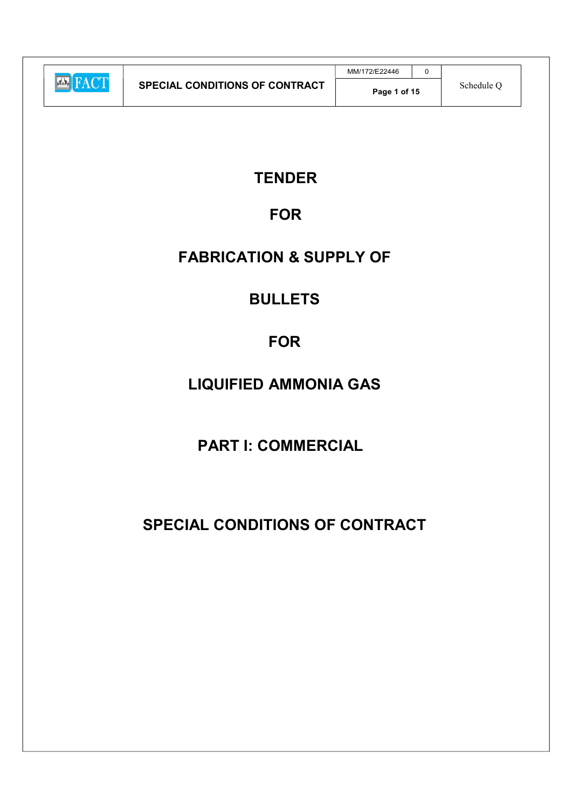|                         |                                       | MM/172/E22446 |            |  |
|-------------------------|---------------------------------------|---------------|------------|--|
| <b>TACT</b><br>$ A = 1$ | <b>SPECIAL CONDITIONS OF CONTRACT</b> | Page 1 of 15  | Schedule ( |  |

### **TENDER**

### FOR

### FABRICATION & SUPPLY OF

### BULLETS

## FOR

# LIQUIFIED AMMONIA GAS

## PART I: COMMERCIAL

# SPECIAL CONDITIONS OF CONTRACT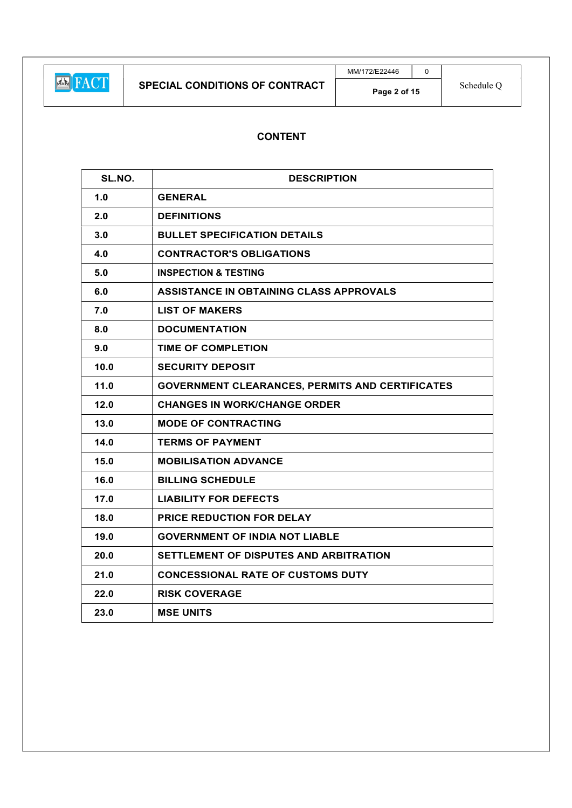### CONTENT

| SL.NO. | <b>DESCRIPTION</b>                                     |
|--------|--------------------------------------------------------|
| 1.0    | <b>GENERAL</b>                                         |
| 2.0    | <b>DEFINITIONS</b>                                     |
| 3.0    | <b>BULLET SPECIFICATION DETAILS</b>                    |
| 4.0    | <b>CONTRACTOR'S OBLIGATIONS</b>                        |
| 5.0    | <b>INSPECTION &amp; TESTING</b>                        |
| 6.0    | ASSISTANCE IN OBTAINING CLASS APPROVALS                |
| 7.0    | <b>LIST OF MAKERS</b>                                  |
| 8.0    | <b>DOCUMENTATION</b>                                   |
| 9.0    | <b>TIME OF COMPLETION</b>                              |
| 10.0   | <b>SECURITY DEPOSIT</b>                                |
| $11.0$ | <b>GOVERNMENT CLEARANCES, PERMITS AND CERTIFICATES</b> |
| 12.0   | <b>CHANGES IN WORK/CHANGE ORDER</b>                    |
| 13.0   | <b>MODE OF CONTRACTING</b>                             |
| 14.0   | <b>TERMS OF PAYMENT</b>                                |
| 15.0   | <b>MOBILISATION ADVANCE</b>                            |
| 16.0   | <b>BILLING SCHEDULE</b>                                |
| 17.0   | <b>LIABILITY FOR DEFECTS</b>                           |
| 18.0   | PRICE REDUCTION FOR DELAY                              |
| 19.0   | <b>GOVERNMENT OF INDIA NOT LIABLE</b>                  |
| 20.0   | SETTLEMENT OF DISPUTES AND ARBITRATION                 |
| 21.0   | <b>CONCESSIONAL RATE OF CUSTOMS DUTY</b>               |
| 22.0   | <b>RISK COVERAGE</b>                                   |
| 23.0   | <b>MSE UNITS</b>                                       |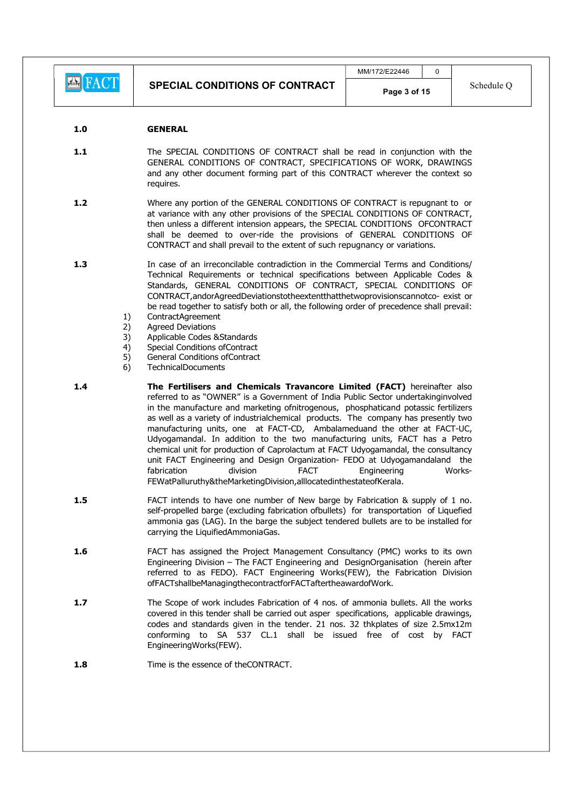EXT

#### 1.0 GENERAL

- 1.1 The SPECIAL CONDITIONS OF CONTRACT shall be read in conjunction with the GENERAL CONDITIONS OF CONTRACT, SPECIFICATIONS OF WORK, DRAWINGS and any other document forming part of this CONTRACT wherever the context so requires.
- 1.2 Where any portion of the GENERAL CONDITIONS OF CONTRACT is repugnant to or at variance with any other provisions of the SPECIAL CONDITIONS OF CONTRACT, then unless a different intension appears, the SPECIAL CONDITIONS OFCONTRACT shall be deemed to over-ride the provisions of GENERAL CONDITIONS OF CONTRACT and shall prevail to the extent of such repugnancy or variations.
- 1.3 **In case of an irreconcilable contradiction in the Commercial Terms and Conditions/** Technical Requirements or technical specifications between Applicable Codes & Standards, GENERAL CONDITIONS OF CONTRACT, SPECIAL CONDITIONS OF CONTRACT,andorAgreedDeviationstotheextentthatthetwoprovisionscannotco- exist or be read together to satisfy both or all, the following order of precedence shall prevail:
	- 1) ContractAgreement
	- 2) Agreed Deviations
	- 3) Applicable Codes &Standards
	- 4) Special Conditions ofContract
	- 5) General Conditions ofContract
	- 6) TechnicalDocuments
- 1.4 **The Fertilisers and Chemicals Travancore Limited (FACT)** hereinafter also referred to as "OWNER" is a Government of India Public Sector undertakinginvolved in the manufacture and marketing ofnitrogenous, phosphaticand potassic fertilizers as well as a variety of industrialchemical products. The company has presently two manufacturing units, one at FACT-CD, Ambalameduand the other at FACT-UC, Udyogamandal. In addition to the two manufacturing units, FACT has a Petro chemical unit for production of Caprolactum at FACT Udyogamandal, the consultancy unit FACT Engineering and Design Organization- FEDO at Udyogamandaland the fabrication division FACT Engineering Works-FEWatPalluruthy&theMarketingDivision,alllocatedinthestateofKerala.
- 1.5 **FACT** intends to have one number of New barge by Fabrication & supply of 1 no. self-propelled barge (excluding fabrication ofbullets) for transportation of Liquefied ammonia gas (LAG). In the barge the subject tendered bullets are to be installed for carrying the LiquifiedAmmoniaGas.
- 1.6 **FACT** has assigned the Project Management Consultancy (PMC) works to its own Engineering Division – The FACT Engineering and DesignOrganisation (herein after referred to as FEDO). FACT Engineering Works(FEW), the Fabrication Division ofFACTshallbeManagingthecontractforFACTaftertheawardofWork.
- 1.7 The Scope of work includes Fabrication of 4 nos. of ammonia bullets. All the works covered in this tender shall be carried out asper specifications, applicable drawings, codes and standards given in the tender. 21 nos. 32 thkplates of size 2.5mx12m conforming to SA 537 CL.1 shall be issued free of cost by FACT EngineeringWorks(FEW).
- 1.8 Time is the essence of theCONTRACT.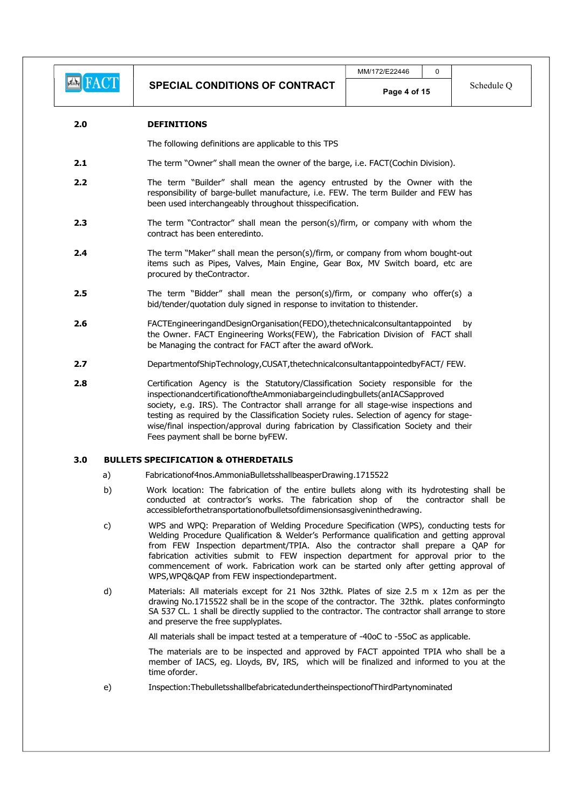#### 2.0 DEFINITIONS

The following definitions are applicable to this TPS

- 2.1 The term "Owner" shall mean the owner of the barge, i.e. FACT(Cochin Division).
- 2.2 The term "Builder" shall mean the agency entrusted by the Owner with the responsibility of barge-bullet manufacture, i.e. FEW. The term Builder and FEW has been used interchangeably throughout thisspecification.
- **2.3** The term "Contractor" shall mean the person(s)/firm, or company with whom the contract has been enteredinto.
- 2.4 The term "Maker" shall mean the person(s)/firm, or company from whom bought-out items such as Pipes, Valves, Main Engine, Gear Box, MV Switch board, etc are procured by theContractor.
- **2.5** The term "Bidder" shall mean the person(s)/firm, or company who offer(s) a bid/tender/quotation duly signed in response to invitation to thistender.
- 2.6 FACTEngineeringandDesignOrganisation(FEDO),thetechnicalconsultantappointed by the Owner. FACT Engineering Works(FEW), the Fabrication Division of FACT shall be Managing the contract for FACT after the award ofWork.
- 2.7 DepartmentofShipTechnology.CUSAT,thetechnicalconsultantappointedbyFACT/ FFW.
- 2.8 Certification Agency is the Statutory/Classification Society responsible for the inspectionandcertificationoftheAmmoniabargeincludingbullets(anIACSapproved society, e.g. IRS). The Contractor shall arrange for all stage-wise inspections and testing as required by the Classification Society rules. Selection of agency for stagewise/final inspection/approval during fabrication by Classification Society and their Fees payment shall be borne byFEW.

#### 3.0 BULLETS SPECIFICATION & OTHERDETAILS

- a) Fabricationof4nos.AmmoniaBulletsshallbeasperDrawing.1715522
- b) Work location: The fabrication of the entire bullets along with its hydrotesting shall be conducted at contractor's works. The fabrication shop of the contractor shall be accessibleforthetransportationofbulletsofdimensionsasgiveninthedrawing.
- c) WPS and WPQ: Preparation of Welding Procedure Specification (WPS), conducting tests for Welding Procedure Qualification & Welder's Performance qualification and getting approval from FEW Inspection department/TPIA. Also the contractor shall prepare a QAP for fabrication activities submit to FEW inspection department for approval prior to the commencement of work. Fabrication work can be started only after getting approval of WPS,WPQ&QAP from FEW inspectiondepartment.
- d) Materials: All materials except for 21 Nos 32thk. Plates of size 2.5 m x 12m as per the drawing No.1715522 shall be in the scope of the contractor. The 32thk. plates conformingto SA 537 CL. 1 shall be directly supplied to the contractor. The contractor shall arrange to store and preserve the free supplyplates.

All materials shall be impact tested at a temperature of -40oC to -55oC as applicable.

The materials are to be inspected and approved by FACT appointed TPIA who shall be a member of IACS, eg. Lloyds, BV, IRS, which will be finalized and informed to you at the time oforder.

e) Inspection:ThebulletsshallbefabricatedundertheinspectionofThirdPartynominated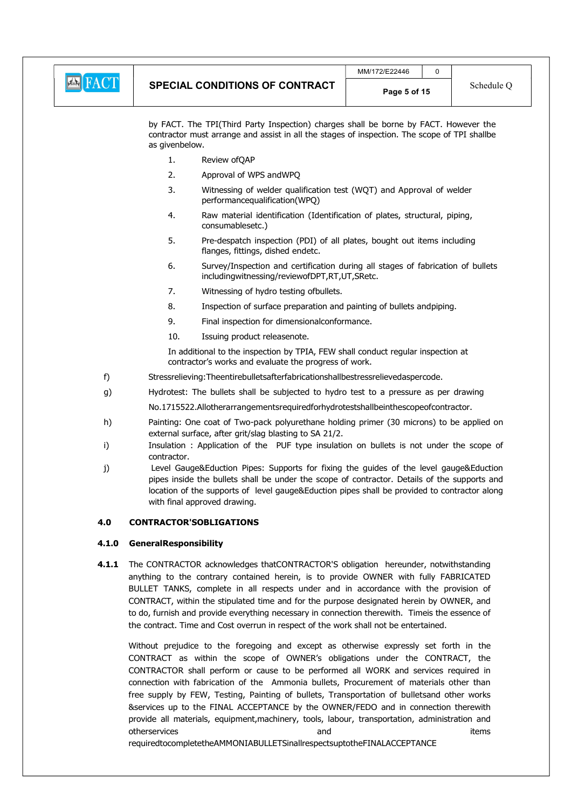

by FACT. The TPI(Third Party Inspection) charges shall be borne by FACT. However the contractor must arrange and assist in all the stages of inspection. The scope of TPI shallbe as givenbelow.

- 1. Review ofQAP
- 2. Approval of WPS andWPQ
- 3. Witnessing of welder qualification test (WQT) and Approval of welder performancequalification(WPQ)
- 4. Raw material identification (Identification of plates, structural, piping, consumablesetc.)
- 5. Pre-despatch inspection (PDI) of all plates, bought out items including flanges, fittings, dished endetc.
- 6. Survey/Inspection and certification during all stages of fabrication of bullets includingwitnessing/reviewofDPT,RT,UT,SRetc.
- 7. Witnessing of hydro testing ofbullets.
- 8. Inspection of surface preparation and painting of bullets andpiping.
- 9. Final inspection for dimensionalconformance.
- 10. Issuing product releasenote.

In additional to the inspection by TPIA, FEW shall conduct regular inspection at contractor's works and evaluate the progress of work.

- f) Stressrelieving:Theentirebulletsafterfabricationshallbestressrelievedaspercode.
- g) Hydrotest: The bullets shall be subjected to hydro test to a pressure as per drawing

No.1715522.Allotherarrangementsrequiredforhydrotestshallbeinthescopeofcontractor.

- h) Painting: One coat of Two-pack polyurethane holding primer (30 microns) to be applied on external surface, after grit/slag blasting to SA 21/2.
- i) Insulation : Application of the PUF type insulation on bullets is not under the scope of contractor.
- j) Level Gauge&Eduction Pipes: Supports for fixing the guides of the level gauge&Eduction pipes inside the bullets shall be under the scope of contractor. Details of the supports and location of the supports of level gauge&Eduction pipes shall be provided to contractor along with final approved drawing.

#### 4.0 CONTRACTOR'SOBLIGATIONS

#### 4.1.0 GeneralResponsibility

4.1.1 The CONTRACTOR acknowledges thatCONTRACTOR'S obligation hereunder, notwithstanding anything to the contrary contained herein, is to provide OWNER with fully FABRICATED BULLET TANKS, complete in all respects under and in accordance with the provision of CONTRACT, within the stipulated time and for the purpose designated herein by OWNER, and to do, furnish and provide everything necessary in connection therewith. Timeis the essence of the contract. Time and Cost overrun in respect of the work shall not be entertained.

Without prejudice to the foregoing and except as otherwise expressly set forth in the CONTRACT as within the scope of OWNER's obligations under the CONTRACT, the CONTRACTOR shall perform or cause to be performed all WORK and services required in connection with fabrication of the Ammonia bullets, Procurement of materials other than free supply by FEW, Testing, Painting of bullets, Transportation of bulletsand other works &services up to the FINAL ACCEPTANCE by the OWNER/FEDO and in connection therewith provide all materials, equipment,machinery, tools, labour, transportation, administration and otherservices and items

requiredtocompletetheAMMONIABULLETSinallrespectsuptotheFINALACCEPTANCE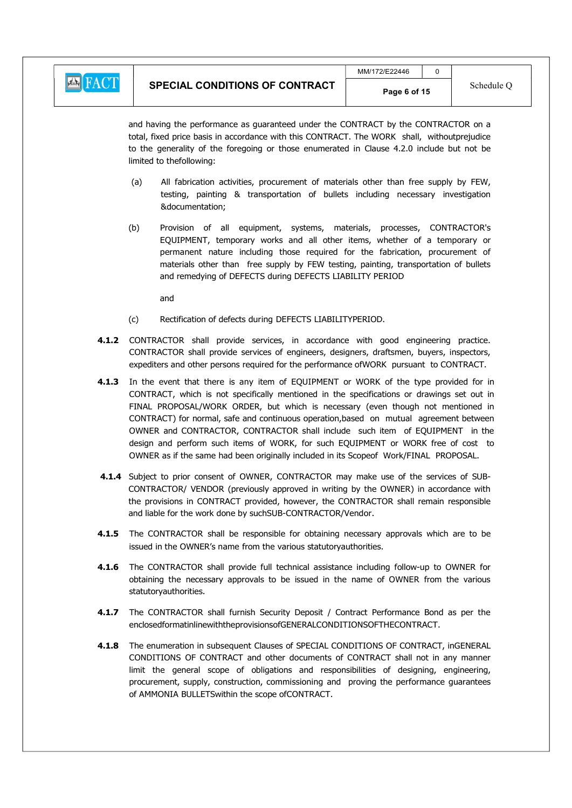

and having the performance as guaranteed under the CONTRACT by the CONTRACTOR on a total, fixed price basis in accordance with this CONTRACT. The WORK shall, withoutprejudice to the generality of the foregoing or those enumerated in Clause 4.2.0 include but not be limited to thefollowing:

- (a) All fabrication activities, procurement of materials other than free supply by FEW, testing, painting & transportation of bullets including necessary investigation &documentation;
- (b) Provision of all equipment, systems, materials, processes, CONTRACTOR's EQUIPMENT, temporary works and all other items, whether of a temporary or permanent nature including those required for the fabrication, procurement of materials other than free supply by FEW testing, painting, transportation of bullets and remedying of DEFECTS during DEFECTS LIABILITY PERIOD
	- and
- (c) Rectification of defects during DEFECTS LIABILITYPERIOD.
- 4.1.2 CONTRACTOR shall provide services, in accordance with good engineering practice. CONTRACTOR shall provide services of engineers, designers, draftsmen, buyers, inspectors, expediters and other persons required for the performance ofWORK pursuant to CONTRACT.
- 4.1.3 In the event that there is any item of EQUIPMENT or WORK of the type provided for in CONTRACT, which is not specifically mentioned in the specifications or drawings set out in FINAL PROPOSAL/WORK ORDER, but which is necessary (even though not mentioned in CONTRACT) for normal, safe and continuous operation,based on mutual agreement between OWNER and CONTRACTOR, CONTRACTOR shall include such item of EQUIPMENT in the design and perform such items of WORK, for such EQUIPMENT or WORK free of cost to OWNER as if the same had been originally included in its Scopeof Work/FINAL PROPOSAL.
- 4.1.4 Subject to prior consent of OWNER, CONTRACTOR may make use of the services of SUB-CONTRACTOR/ VENDOR (previously approved in writing by the OWNER) in accordance with the provisions in CONTRACT provided, however, the CONTRACTOR shall remain responsible and liable for the work done by suchSUB-CONTRACTOR/Vendor.
- 4.1.5 The CONTRACTOR shall be responsible for obtaining necessary approvals which are to be issued in the OWNER's name from the various statutoryauthorities.
- 4.1.6 The CONTRACTOR shall provide full technical assistance including follow-up to OWNER for obtaining the necessary approvals to be issued in the name of OWNER from the various statutoryauthorities.
- 4.1.7 The CONTRACTOR shall furnish Security Deposit / Contract Performance Bond as per the enclosedformatinlinewiththeprovisionsofGENERALCONDITIONSOFTHECONTRACT.
- 4.1.8 The enumeration in subsequent Clauses of SPECIAL CONDITIONS OF CONTRACT, inGENERAL CONDITIONS OF CONTRACT and other documents of CONTRACT shall not in any manner limit the general scope of obligations and responsibilities of designing, engineering, procurement, supply, construction, commissioning and proving the performance guarantees of AMMONIA BULLETSwithin the scope ofCONTRACT.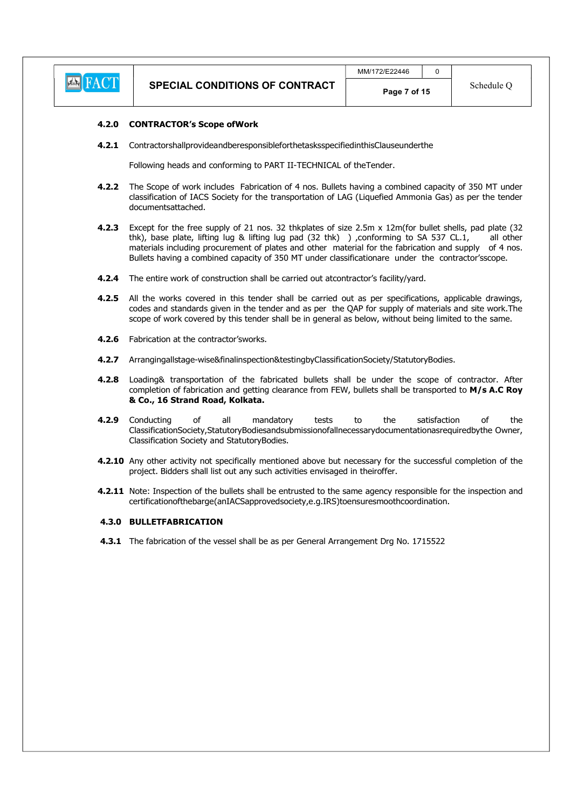

#### 4.2.0 CONTRACTOR's Scope ofWork

4.2.1 ContractorshallprovideandberesponsibleforthetasksspecifiedinthisClauseunderthe

Following heads and conforming to PART II-TECHNICAL of theTender.

- 4.2.2 The Scope of work includes Fabrication of 4 nos. Bullets having a combined capacity of 350 MT under classification of IACS Society for the transportation of LAG (Liquefied Ammonia Gas) as per the tender documentsattached.
- 4.2.3 Except for the free supply of 21 nos. 32 thkplates of size 2.5m x 12m(for bullet shells, pad plate (32 thk), base plate, lifting lug & lifting lug pad (32 thk) ) ,conforming to SA 537 CL.1, all other materials including procurement of plates and other material for the fabrication and supply of 4 nos. Bullets having a combined capacity of 350 MT under classificationare under the contractor'sscope.
- 4.2.4 The entire work of construction shall be carried out atcontractor's facility/yard.
- 4.2.5 All the works covered in this tender shall be carried out as per specifications, applicable drawings, codes and standards given in the tender and as per the QAP for supply of materials and site work.The scope of work covered by this tender shall be in general as below, without being limited to the same.
- 4.2.6 Fabrication at the contractor'sworks.
- 4.2.7 Arrangingallstage-wise&finalinspection&testingbyClassificationSociety/StatutoryBodies.
- 4.2.8 Loading& transportation of the fabricated bullets shall be under the scope of contractor. After completion of fabrication and getting clearance from FEW, bullets shall be transported to M/s A.C Roy & Co., 16 Strand Road, Kolkata.
- **4.2.9** Conducting of all mandatory tests to the satisfaction of the | ClassificationSociety,StatutoryBodiesandsubmissionofallnecessarydocumentationasrequiredbythe Owner, Classification Society and StatutoryBodies.
- 4.2.10 Any other activity not specifically mentioned above but necessary for the successful completion of the project. Bidders shall list out any such activities envisaged in theiroffer.
- 4.2.11 Note: Inspection of the bullets shall be entrusted to the same agency responsible for the inspection and certificationofthebarge(anIACSapprovedsociety,e.g.IRS)toensuresmoothcoordination.

#### 4.3.0 BULLETFABRICATION

4.3.1 The fabrication of the vessel shall be as per General Arrangement Drg No. 1715522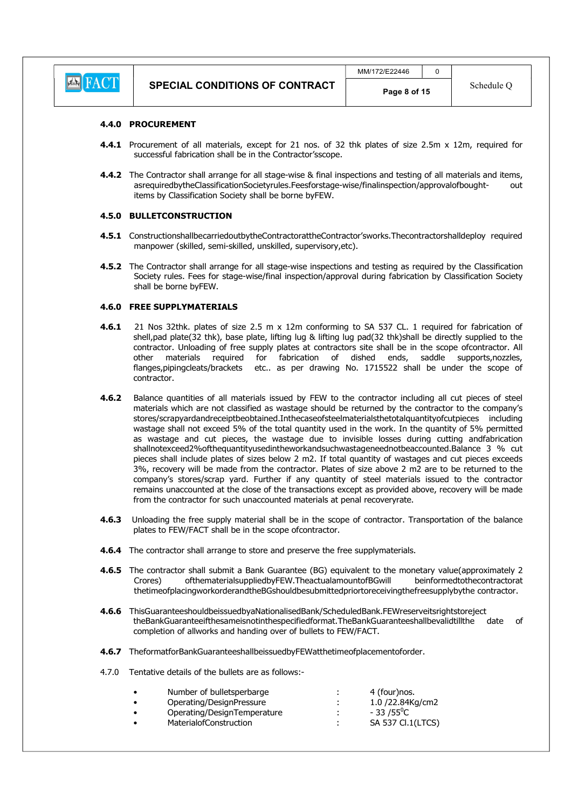

#### 4.4.0 PROCUREMENT

- 4.4.1 Procurement of all materials, except for 21 nos. of 32 thk plates of size 2.5m x 12m, required for successful fabrication shall be in the Contractor'sscope.
- 4.4.2 The Contractor shall arrange for all stage-wise & final inspections and testing of all materials and items, asrequiredbytheClassificationSocietyrules.Feesforstage-wise/finalinspection/approvalofbought- out items by Classification Society shall be borne byFEW.

#### 4.5.0 BULLETCONSTRUCTION

- 4.5.1 ConstructionshallbecarriedoutbytheContractorattheContractor'sworks.Thecontractorshalldeploy required manpower (skilled, semi-skilled, unskilled, supervisory,etc).
- 4.5.2 The Contractor shall arrange for all stage-wise inspections and testing as required by the Classification Society rules. Fees for stage-wise/final inspection/approval during fabrication by Classification Society shall be borne byFEW.

#### 4.6.0 FREE SUPPLYMATERIALS

- 4.6.1 21 Nos 32thk. plates of size 2.5 m x 12m conforming to SA 537 CL. 1 required for fabrication of shell,pad plate(32 thk), base plate, lifting lug & lifting lug pad(32 thk)shall be directly supplied to the contractor. Unloading of free supply plates at contractors site shall be in the scope ofcontractor. All other materials required for fabrication of dished ends, saddle supports,nozzles, flanges,pipingcleats/brackets etc.. as per drawing No. 1715522 shall be under the scope of contractor.
- **4.6.2** Balance quantities of all materials issued by FEW to the contractor including all cut pieces of steel materials which are not classified as wastage should be returned by the contractor to the company's stores/scrapyardandreceiptbeobtained.Inthecaseofsteelmaterialsthetotalquantityofcutpieces including wastage shall not exceed 5% of the total quantity used in the work. In the quantity of 5% permitted as wastage and cut pieces, the wastage due to invisible losses during cutting andfabrication shallnotexceed2%ofthequantityusedintheworkandsuchwastageneednotbeaccounted.Balance 3 % cut pieces shall include plates of sizes below 2 m2. If total quantity of wastages and cut pieces exceeds 3%, recovery will be made from the contractor. Plates of size above 2 m2 are to be returned to the company's stores/scrap yard. Further if any quantity of steel materials issued to the contractor remains unaccounted at the close of the transactions except as provided above, recovery will be made from the contractor for such unaccounted materials at penal recoveryrate.
- 4.6.3 Unloading the free supply material shall be in the scope of contractor. Transportation of the balance plates to FEW/FACT shall be in the scope ofcontractor.
- 4.6.4 The contractor shall arrange to store and preserve the free supplymaterials.
- 4.6.5 The contractor shall submit a Bank Guarantee (BG) equivalent to the monetary value(approximately 2 Crores) ofthematerialsuppliedbyFEW.TheactualamountofBGwill beinformedtothecontractorat thetimeofplacingworkorderandtheBGshouldbesubmittedpriortoreceivingthefreesupplybythe contractor.
- 4.6.6 ThisGuaranteeshouldbeissuedbyaNationalisedBank/ScheduledBank.FEWreserveitsrightstoreject theBankGuaranteeifthesameisnotinthespecifiedformat.TheBankGuaranteeshallbevalidtillthe date of completion of allworks and handing over of bullets to FEW/FACT.
- 4.6.7 TheformatforBankGuaranteeshallbeissuedbyFEWatthetimeofplacementoforder.
- 4.7.0 Tentative details of the bullets are as follows:-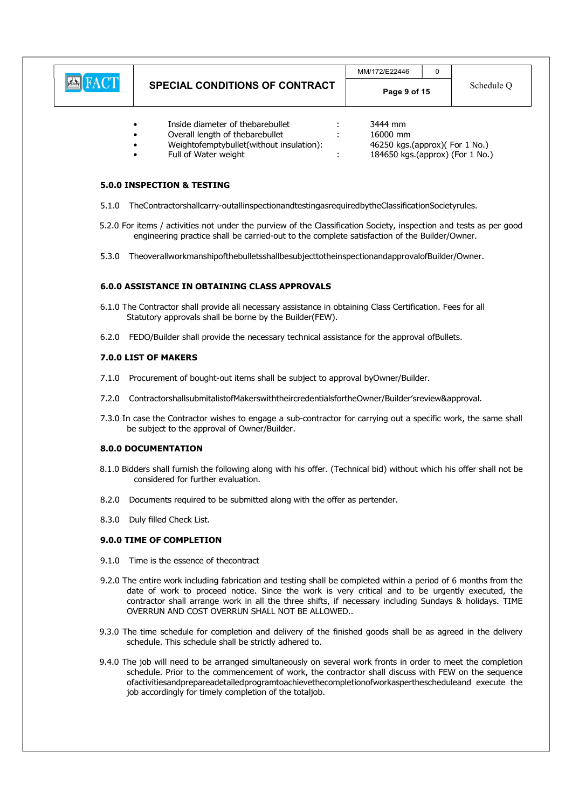|                                            | <b>SPECIAL CONDITIONS OF CONTRACT</b> | MM/172/E22446<br>$\sim$ |  | Schedule Q |
|--------------------------------------------|---------------------------------------|-------------------------|--|------------|
| $\Gamma\Lambda$ $C\Gamma$<br>$\sqrt{2\pi}$ |                                       | Page 9 of 15            |  |            |

- Inside diameter of thebarebullet : 3444 mm
- Overall length of thebarebullet : 16000 mm
- 
- 
- Weightofemptybullet(without insulation): 46250 kgs.(approx)( For 1 No.) :  $184650$  kgs.(approx) (For  $1$  No.)

#### 5.0.0 INSPECTION & TESTING

- 5.1.0 TheContractorshallcarry-outallinspectionandtestingasrequiredbytheClassificationSocietyrules.
- 5.2.0 For items / activities not under the purview of the Classification Society, inspection and tests as per good engineering practice shall be carried-out to the complete satisfaction of the Builder/Owner.
- 5.3.0 TheoverallworkmanshipofthebulletsshallbesubjecttotheinspectionandapprovalofBuilder/Owner.

#### 6.0.0 ASSISTANCE IN OBTAINING CLASS APPROVALS

- 6.1.0 The Contractor shall provide all necessary assistance in obtaining Class Certification. Fees for all Statutory approvals shall be borne by the Builder(FEW).
- 6.2.0 FEDO/Builder shall provide the necessary technical assistance for the approval ofBullets.

#### 7.0.0 LIST OF MAKERS

- 7.1.0 Procurement of bought-out items shall be subject to approval byOwner/Builder.
- 7.2.0 ContractorshallsubmitalistofMakerswiththeircredentialsfortheOwner/Builder'sreview&approval.
- 7.3.0 In case the Contractor wishes to engage a sub-contractor for carrying out a specific work, the same shall be subject to the approval of Owner/Builder.

#### 8.0.0 DOCUMENTATION

- 8.1.0 Bidders shall furnish the following along with his offer. (Technical bid) without which his offer shall not be considered for further evaluation.
- 8.2.0 Documents required to be submitted along with the offer as pertender.
- 8.3.0 Duly filled Check List.

#### 9.0.0 TIME OF COMPLETION

- 9.1.0 Time is the essence of thecontract
- 9.2.0 The entire work including fabrication and testing shall be completed within a period of 6 months from the date of work to proceed notice. Since the work is very critical and to be urgently executed, the contractor shall arrange work in all the three shifts, if necessary including Sundays & holidays. TIME OVERRUN AND COST OVERRUN SHALL NOT BE ALLOWED..
- 9.3.0 The time schedule for completion and delivery of the finished goods shall be as agreed in the delivery schedule. This schedule shall be strictly adhered to.
- 9.4.0 The job will need to be arranged simultaneously on several work fronts in order to meet the completion schedule. Prior to the commencement of work, the contractor shall discuss with FEW on the sequence ofactivitiesandprepareadetailedprogramtoachievethecompletionofworkasperthescheduleand execute the job accordingly for timely completion of the totaljob.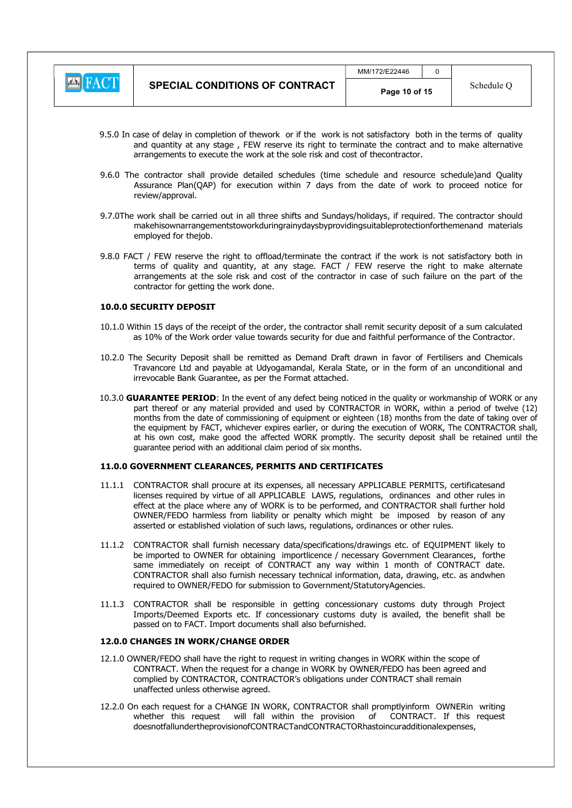

- 9.5.0 In case of delay in completion of thework or if the work is not satisfactory both in the terms of quality and quantity at any stage , FEW reserve its right to terminate the contract and to make alternative arrangements to execute the work at the sole risk and cost of thecontractor.
- 9.6.0 The contractor shall provide detailed schedules (time schedule and resource schedule)and Quality Assurance Plan(QAP) for execution within 7 days from the date of work to proceed notice for review/approval.
- 9.7.0The work shall be carried out in all three shifts and Sundays/holidays, if required. The contractor should makehisownarrangementstoworkduringrainydaysbyprovidingsuitableprotectionforthemenand materials employed for thejob.
- 9.8.0 FACT / FEW reserve the right to offload/terminate the contract if the work is not satisfactory both in terms of quality and quantity, at any stage. FACT / FEW reserve the right to make alternate arrangements at the sole risk and cost of the contractor in case of such failure on the part of the contractor for getting the work done.

#### 10.0.0 SECURITY DEPOSIT

- 10.1.0 Within 15 days of the receipt of the order, the contractor shall remit security deposit of a sum calculated as 10% of the Work order value towards security for due and faithful performance of the Contractor.
- 10.2.0 The Security Deposit shall be remitted as Demand Draft drawn in favor of Fertilisers and Chemicals Travancore Ltd and payable at Udyogamandal, Kerala State, or in the form of an unconditional and irrevocable Bank Guarantee, as per the Format attached.
- 10.3.0 GUARANTEE PERIOD: In the event of any defect being noticed in the quality or workmanship of WORK or any part thereof or any material provided and used by CONTRACTOR in WORK, within a period of twelve (12) months from the date of commissioning of equipment or eighteen (18) months from the date of taking over of the equipment by FACT, whichever expires earlier, or during the execution of WORK, The CONTRACTOR shall, at his own cost, make good the affected WORK promptly. The security deposit shall be retained until the guarantee period with an additional claim period of six months.

#### 11.0.0 GOVERNMENT CLEARANCES, PERMITS AND CERTIFICATES

- 11.1.1 CONTRACTOR shall procure at its expenses, all necessary APPLICABLE PERMITS, certificatesand licenses required by virtue of all APPLICABLE LAWS, regulations, ordinances and other rules in effect at the place where any of WORK is to be performed, and CONTRACTOR shall further hold OWNER/FEDO harmless from liability or penalty which might be imposed by reason of any asserted or established violation of such laws, regulations, ordinances or other rules.
- 11.1.2 CONTRACTOR shall furnish necessary data/specifications/drawings etc. of EQUIPMENT likely to be imported to OWNER for obtaining importlicence / necessary Government Clearances, forthe same immediately on receipt of CONTRACT any way within 1 month of CONTRACT date. CONTRACTOR shall also furnish necessary technical information, data, drawing, etc. as andwhen required to OWNER/FEDO for submission to Government/StatutoryAgencies.
- 11.1.3 CONTRACTOR shall be responsible in getting concessionary customs duty through Project Imports/Deemed Exports etc. If concessionary customs duty is availed, the benefit shall be passed on to FACT. Import documents shall also befurnished.

#### 12.0.0 CHANGES IN WORK/CHANGE ORDER

- 12.1.0 OWNER/FEDO shall have the right to request in writing changes in WORK within the scope of CONTRACT. When the request for a change in WORK by OWNER/FEDO has been agreed and complied by CONTRACTOR, CONTRACTOR's obligations under CONTRACT shall remain unaffected unless otherwise agreed.
- 12.2.0 On each request for a CHANGE IN WORK, CONTRACTOR shall promptlyinform OWNERin writing whether this request will fall within the provision of CONTRACT. If this request doesnotfallundertheprovisionofCONTRACTandCONTRACTORhastoincuradditionalexpenses,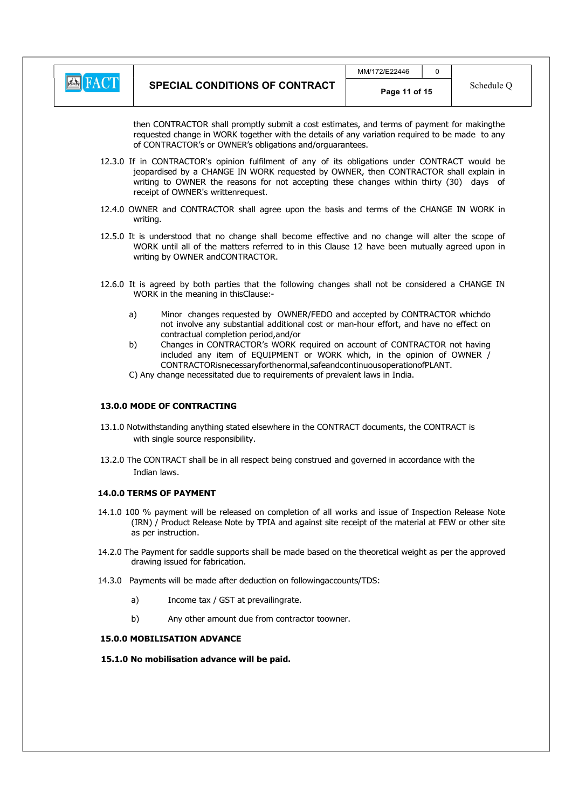

then CONTRACTOR shall promptly submit a cost estimates, and terms of payment for makingthe requested change in WORK together with the details of any variation required to be made to any of CONTRACTOR's or OWNER's obligations and/orguarantees.

- 12.3.0 If in CONTRACTOR's opinion fulfilment of any of its obligations under CONTRACT would be jeopardised by a CHANGE IN WORK requested by OWNER, then CONTRACTOR shall explain in writing to OWNER the reasons for not accepting these changes within thirty (30) days of receipt of OWNER's writtenrequest.
- 12.4.0 OWNER and CONTRACTOR shall agree upon the basis and terms of the CHANGE IN WORK in writing.
- 12.5.0 It is understood that no change shall become effective and no change will alter the scope of WORK until all of the matters referred to in this Clause 12 have been mutually agreed upon in writing by OWNER andCONTRACTOR.
- 12.6.0 It is agreed by both parties that the following changes shall not be considered a CHANGE IN WORK in the meaning in thisClause:
	- a) Minor changes requested by OWNER/FEDO and accepted by CONTRACTOR whichdo not involve any substantial additional cost or man-hour effort, and have no effect on contractual completion period,and/or
	- b) Changes in CONTRACTOR's WORK required on account of CONTRACTOR not having included any item of EQUIPMENT or WORK which, in the opinion of OWNER / CONTRACTORisnecessaryforthenormal,safeandcontinuousoperationofPLANT.
	- C) Any change necessitated due to requirements of prevalent laws in India.

#### 13.0.0 MODE OF CONTRACTING

- 13.1.0 Notwithstanding anything stated elsewhere in the CONTRACT documents, the CONTRACT is with single source responsibility.
- 13.2.0 The CONTRACT shall be in all respect being construed and governed in accordance with the Indian laws.

#### 14.0.0 TERMS OF PAYMENT

- 14.1.0 100 % payment will be released on completion of all works and issue of Inspection Release Note (IRN) / Product Release Note by TPIA and against site receipt of the material at FEW or other site as per instruction.
- 14.2.0 The Payment for saddle supports shall be made based on the theoretical weight as per the approved drawing issued for fabrication.
- 14.3.0 Payments will be made after deduction on followingaccounts/TDS:
	- a) Income tax / GST at prevailingrate.
	- b) Any other amount due from contractor toowner.

#### 15.0.0 MOBILISATION ADVANCE

#### 15.1.0 No mobilisation advance will be paid.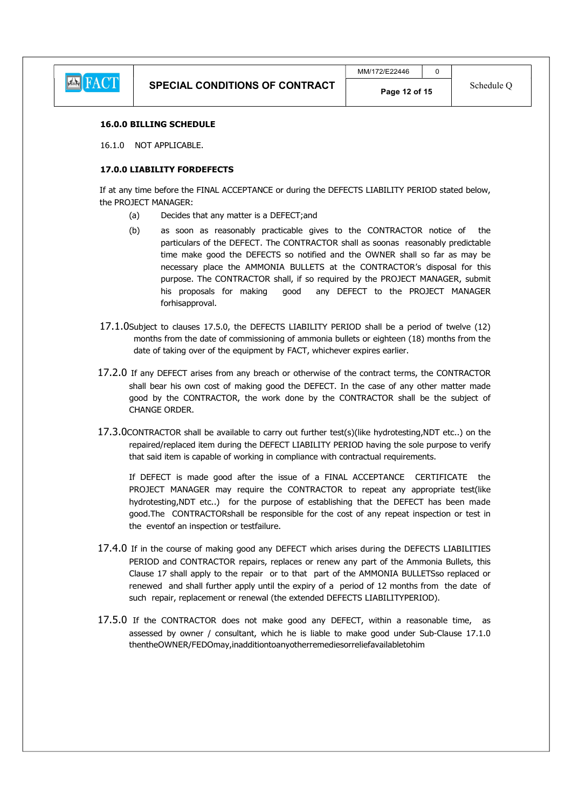

#### 16.0.0 BILLING SCHEDULE

16.1.0 NOT APPLICABLE.

#### 17.0.0 LIABILITY FORDEFECTS

If at any time before the FINAL ACCEPTANCE or during the DEFECTS LIABILITY PERIOD stated below, the PROJECT MANAGER:

- (a) Decides that any matter is a DEFECT;and
	- (b) as soon as reasonably practicable gives to the CONTRACTOR notice of the particulars of the DEFECT. The CONTRACTOR shall as soonas reasonably predictable time make good the DEFECTS so notified and the OWNER shall so far as may be necessary place the AMMONIA BULLETS at the CONTRACTOR's disposal for this purpose. The CONTRACTOR shall, if so required by the PROJECT MANAGER, submit his proposals for making good any DEFECT to the PROJECT MANAGER forhisapproval.
- 17.1.0Subject to clauses 17.5.0, the DEFECTS LIABILITY PERIOD shall be a period of twelve (12) months from the date of commissioning of ammonia bullets or eighteen (18) months from the date of taking over of the equipment by FACT, whichever expires earlier.
- 17.2.0 If any DEFECT arises from any breach or otherwise of the contract terms, the CONTRACTOR shall bear his own cost of making good the DEFECT. In the case of any other matter made good by the CONTRACTOR, the work done by the CONTRACTOR shall be the subject of CHANGE ORDER.
- 17.3.0CONTRACTOR shall be available to carry out further test(s)(like hydrotesting,NDT etc..) on the repaired/replaced item during the DEFECT LIABILITY PERIOD having the sole purpose to verify that said item is capable of working in compliance with contractual requirements.

If DEFECT is made good after the issue of a FINAL ACCEPTANCE CERTIFICATE the PROJECT MANAGER may require the CONTRACTOR to repeat any appropriate test(like hydrotesting,NDT etc..) for the purpose of establishing that the DEFECT has been made good.The CONTRACTORshall be responsible for the cost of any repeat inspection or test in the eventof an inspection or testfailure.

- 17.4.0 If in the course of making good any DEFECT which arises during the DEFECTS LIABILITIES PERIOD and CONTRACTOR repairs, replaces or renew any part of the Ammonia Bullets, this Clause 17 shall apply to the repair or to that part of the AMMONIA BULLETSso replaced or renewed and shall further apply until the expiry of a period of 12 months from the date of such repair, replacement or renewal (the extended DEFECTS LIABILITYPERIOD).
- 17.5.0 If the CONTRACTOR does not make good any DEFECT, within a reasonable time, as assessed by owner / consultant, which he is liable to make good under Sub-Clause 17.1.0 thentheOWNER/FEDOmay,inadditiontoanyotherremediesorreliefavailabletohim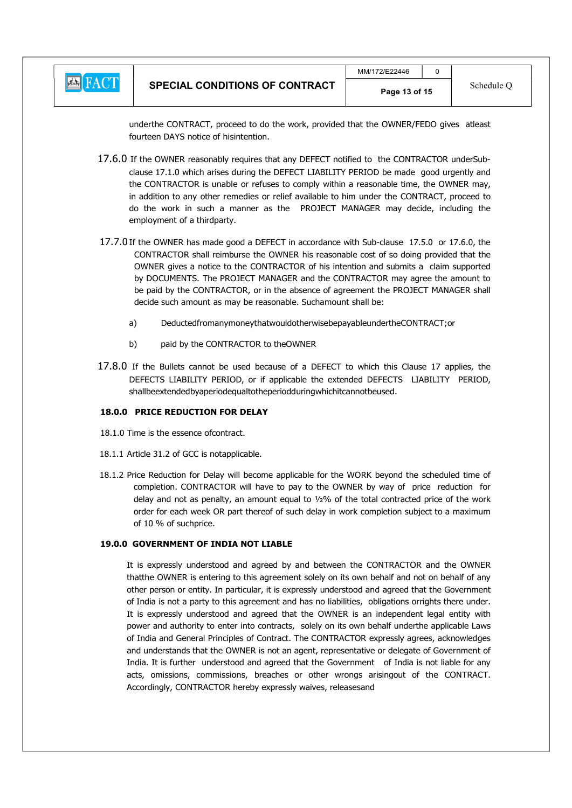

underthe CONTRACT, proceed to do the work, provided that the OWNER/FEDO gives atleast fourteen DAYS notice of hisintention.

17.6.0 If the OWNER reasonably requires that any DEFECT notified to the CONTRACTOR underSubclause 17.1.0 which arises during the DEFECT LIABILITY PERIOD be made good urgently and the CONTRACTOR is unable or refuses to comply within a reasonable time, the OWNER may, in addition to any other remedies or relief available to him under the CONTRACT, proceed to do the work in such a manner as the PROJECT MANAGER may decide, including the employment of a thirdparty.

- 17.7.0 If the OWNER has made good a DEFECT in accordance with Sub-clause 17.5.0 or 17.6.0, the CONTRACTOR shall reimburse the OWNER his reasonable cost of so doing provided that the OWNER gives a notice to the CONTRACTOR of his intention and submits a claim supported by DOCUMENTS. The PROJECT MANAGER and the CONTRACTOR may agree the amount to be paid by the CONTRACTOR, or in the absence of agreement the PROJECT MANAGER shall decide such amount as may be reasonable. Suchamount shall be:
	- a) DeductedfromanymoneythatwouldotherwisebepayableundertheCONTRACT;or
	- b) paid by the CONTRACTOR to theOWNER
- 17.8.0 If the Bullets cannot be used because of a DEFECT to which this Clause 17 applies, the DEFECTS LIABILITY PERIOD, or if applicable the extended DEFECTS LIABILITY PERIOD, shallbeextendedbyaperiodequaltotheperiodduringwhichitcannotbeused.

#### 18.0.0 PRICE REDUCTION FOR DELAY

- 18.1.0 Time is the essence ofcontract.
- 18.1.1 Article 31.2 of GCC is notapplicable.
- 18.1.2 Price Reduction for Delay will become applicable for the WORK beyond the scheduled time of completion. CONTRACTOR will have to pay to the OWNER by way of price reduction for delay and not as penalty, an amount equal to ½% of the total contracted price of the work order for each week OR part thereof of such delay in work completion subject to a maximum of 10 % of suchprice.

#### 19.0.0 GOVERNMENT OF INDIA NOT LIABLE

It is expressly understood and agreed by and between the CONTRACTOR and the OWNER thatthe OWNER is entering to this agreement solely on its own behalf and not on behalf of any other person or entity. In particular, it is expressly understood and agreed that the Government of India is not a party to this agreement and has no liabilities, obligations orrights there under. It is expressly understood and agreed that the OWNER is an independent legal entity with power and authority to enter into contracts, solely on its own behalf underthe applicable Laws of India and General Principles of Contract. The CONTRACTOR expressly agrees, acknowledges and understands that the OWNER is not an agent, representative or delegate of Government of India. It is further understood and agreed that the Government of India is not liable for any acts, omissions, commissions, breaches or other wrongs arisingout of the CONTRACT. Accordingly, CONTRACTOR hereby expressly waives, releasesand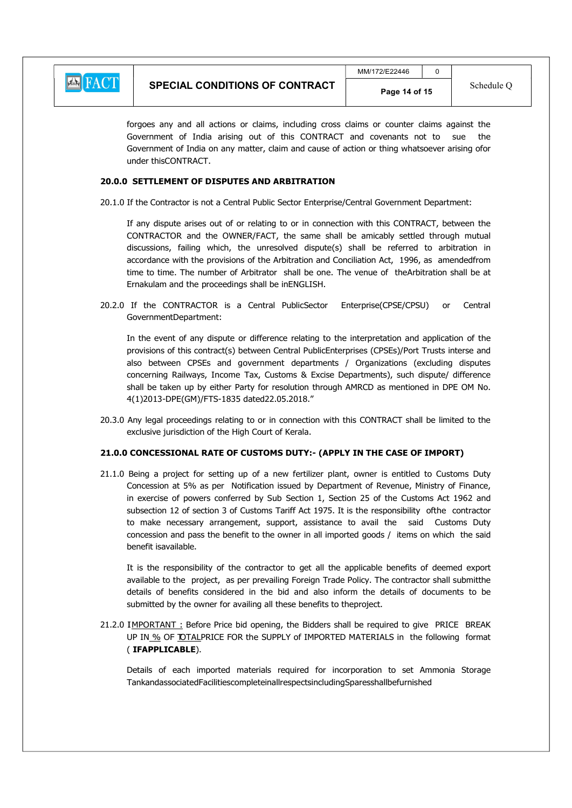

forgoes any and all actions or claims, including cross claims or counter claims against the Government of India arising out of this CONTRACT and covenants not to sue the Government of India on any matter, claim and cause of action or thing whatsoever arising ofor under thisCONTRACT.

#### 20.0.0 SETTLEMENT OF DISPUTES AND ARBITRATION

20.1.0 If the Contractor is not a Central Public Sector Enterprise/Central Government Department:

If any dispute arises out of or relating to or in connection with this CONTRACT, between the CONTRACTOR and the OWNER/FACT, the same shall be amicably settled through mutual discussions, failing which, the unresolved dispute(s) shall be referred to arbitration in accordance with the provisions of the Arbitration and Conciliation Act, 1996, as amendedfrom time to time. The number of Arbitrator shall be one. The venue of theArbitration shall be at Ernakulam and the proceedings shall be inENGLISH.

20.2.0 If the CONTRACTOR is a Central PublicSector Enterprise(CPSE/CPSU) or Central GovernmentDepartment:

In the event of any dispute or difference relating to the interpretation and application of the provisions of this contract(s) between Central PublicEnterprises (CPSEs)/Port Trusts interse and also between CPSEs and government departments / Organizations (excluding disputes concerning Railways, Income Tax, Customs & Excise Departments), such dispute/ difference shall be taken up by either Party for resolution through AMRCD as mentioned in DPE OM No. 4(1)2013-DPE(GM)/FTS-1835 dated22.05.2018."

20.3.0 Any legal proceedings relating to or in connection with this CONTRACT shall be limited to the exclusive jurisdiction of the High Court of Kerala.

#### 21.0.0 CONCESSIONAL RATE OF CUSTOMS DUTY:- (APPLY IN THE CASE OF IMPORT)

21.1.0 Being a project for setting up of a new fertilizer plant, owner is entitled to Customs Duty Concession at 5% as per Notification issued by Department of Revenue, Ministry of Finance, in exercise of powers conferred by Sub Section 1, Section 25 of the Customs Act 1962 and subsection 12 of section 3 of Customs Tariff Act 1975. It is the responsibility ofthe contractor to make necessary arrangement, support, assistance to avail the said Customs Duty concession and pass the benefit to the owner in all imported goods / items on which the said benefit isavailable.

It is the responsibility of the contractor to get all the applicable benefits of deemed export available to the project, as per prevailing Foreign Trade Policy. The contractor shall submitthe details of benefits considered in the bid and also inform the details of documents to be submitted by the owner for availing all these benefits to theproject.

21.2.0 IMPORTANT: Before Price bid opening, the Bidders shall be required to give PRICE BREAK UP IN % OF TOTALPRICE FOR the SUPPLY of IMPORTED MATERIALS in the following format ( IFAPPLICABLE).

Details of each imported materials required for incorporation to set Ammonia Storage TankandassociatedFacilitiescompleteinallrespectsincludingSparesshallbefurnished